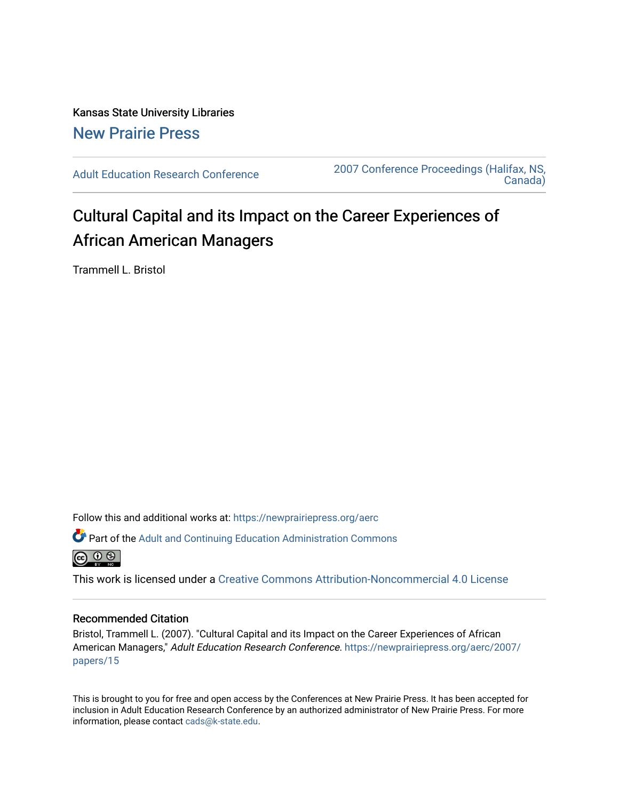Kansas State University Libraries [New Prairie Press](https://newprairiepress.org/) 

[Adult Education Research Conference](https://newprairiepress.org/aerc) [2007 Conference Proceedings \(Halifax, NS,](https://newprairiepress.org/aerc/2007)  [Canada\)](https://newprairiepress.org/aerc/2007) 

# Cultural Capital and its Impact on the Career Experiences of African American Managers

Trammell L. Bristol

Follow this and additional works at: [https://newprairiepress.org/aerc](https://newprairiepress.org/aerc?utm_source=newprairiepress.org%2Faerc%2F2007%2Fpapers%2F15&utm_medium=PDF&utm_campaign=PDFCoverPages)

Part of the [Adult and Continuing Education Administration Commons](http://network.bepress.com/hgg/discipline/789?utm_source=newprairiepress.org%2Faerc%2F2007%2Fpapers%2F15&utm_medium=PDF&utm_campaign=PDFCoverPages)



This work is licensed under a [Creative Commons Attribution-Noncommercial 4.0 License](https://creativecommons.org/licenses/by-nc/4.0/)

# Recommended Citation

Bristol, Trammell L. (2007). "Cultural Capital and its Impact on the Career Experiences of African American Managers," Adult Education Research Conference. [https://newprairiepress.org/aerc/2007/](https://newprairiepress.org/aerc/2007/papers/15) [papers/15](https://newprairiepress.org/aerc/2007/papers/15) 

This is brought to you for free and open access by the Conferences at New Prairie Press. It has been accepted for inclusion in Adult Education Research Conference by an authorized administrator of New Prairie Press. For more information, please contact [cads@k-state.edu](mailto:cads@k-state.edu).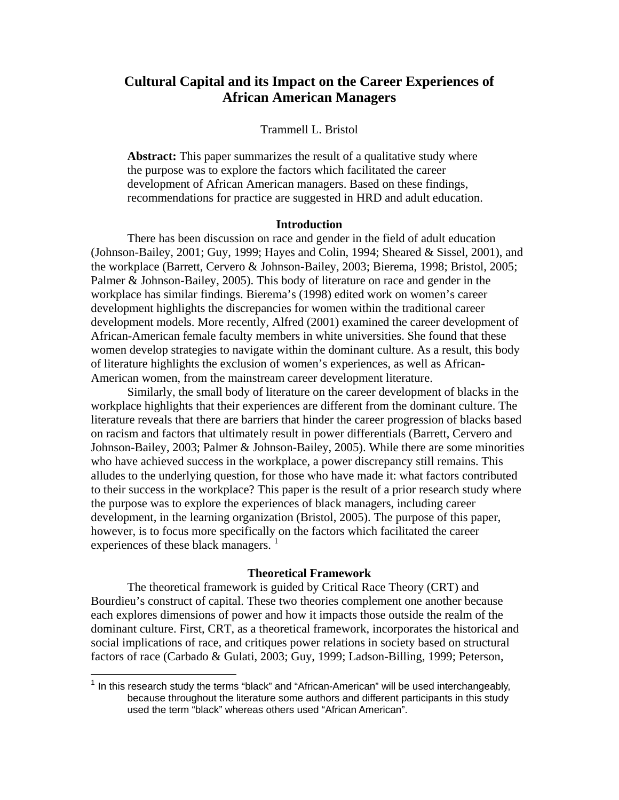# **Cultural Capital and its Impact on the Career Experiences of African American Managers**

#### Trammell L. Bristol

Abstract: This paper summarizes the result of a qualitative study where the purpose was to explore the factors which facilitated the career development of African American managers. Based on these findings, recommendations for practice are suggested in HRD and adult education.

# **Introduction**

There has been discussion on race and gender in the field of adult education (Johnson-Bailey, 2001; Guy, 1999; Hayes and Colin, 1994; Sheared & Sissel, 2001), and the workplace (Barrett, Cervero & Johnson-Bailey, 2003; Bierema, 1998; Bristol, 2005; Palmer & Johnson-Bailey, 2005). This body of literature on race and gender in the workplace has similar findings. Bierema's (1998) edited work on women's career development highlights the discrepancies for women within the traditional career development models. More recently, Alfred (2001) examined the career development of African-American female faculty members in white universities. She found that these women develop strategies to navigate within the dominant culture. As a result, this body of literature highlights the exclusion of women's experiences, as well as African-American women, from the mainstream career development literature.

Similarly, the small body of literature on the career development of blacks in the workplace highlights that their experiences are different from the dominant culture. The literature reveals that there are barriers that hinder the career progression of blacks based on racism and factors that ultimately result in power differentials (Barrett, Cervero and Johnson-Bailey, 2003; Palmer & Johnson-Bailey, 2005). While there are some minorities who have achieved success in the workplace, a power discrepancy still remains. This alludes to the underlying question, for those who have made it: what factors contributed to their success in the workplace? This paper is the result of a prior research study where the purpose was to explore the experiences of black managers, including career development, in the learning organization (Bristol, 2005). The purpose of this paper, however, is to focus more specifically on the factors which facilitated the career experiences of these black managers.<sup>1</sup>

# **Theoretical Framework**

The theoretical framework is guided by Critical Race Theory (CRT) and Bourdieu's construct of capital. These two theories complement one another because each explores dimensions of power and how it impacts those outside the realm of the dominant culture. First, CRT, as a theoretical framework, incorporates the historical and social implications of race, and critiques power relations in society based on structural factors of race (Carbado & Gulati, 2003; Guy, 1999; Ladson-Billing, 1999; Peterson,

 $\overline{a}$ 

 $1$  In this research study the terms "black" and "African-American" will be used interchangeably, because throughout the literature some authors and different participants in this study used the term "black" whereas others used "African American".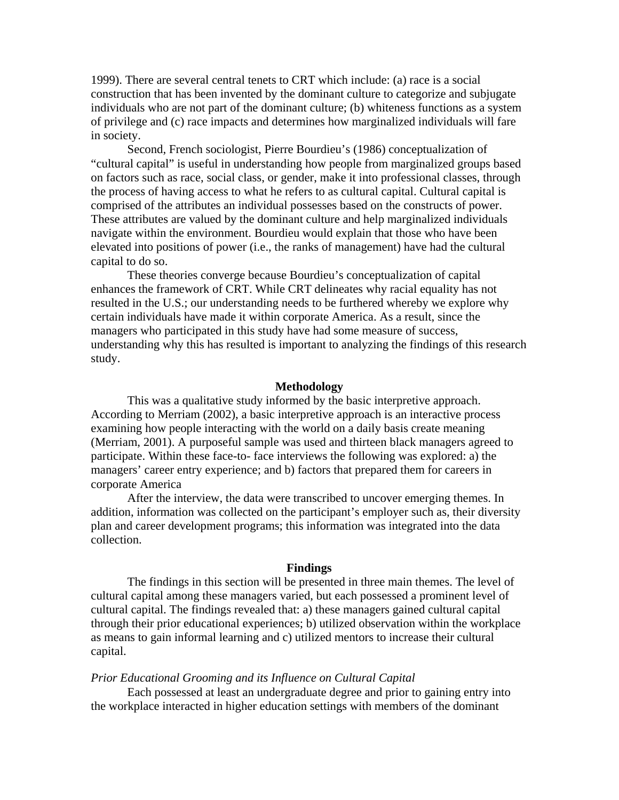1999). There are several central tenets to CRT which include: (a) race is a social construction that has been invented by the dominant culture to categorize and subjugate individuals who are not part of the dominant culture; (b) whiteness functions as a system of privilege and (c) race impacts and determines how marginalized individuals will fare in society.

Second, French sociologist, Pierre Bourdieu's (1986) conceptualization of "cultural capital" is useful in understanding how people from marginalized groups based on factors such as race, social class, or gender, make it into professional classes, through the process of having access to what he refers to as cultural capital. Cultural capital is comprised of the attributes an individual possesses based on the constructs of power. These attributes are valued by the dominant culture and help marginalized individuals navigate within the environment. Bourdieu would explain that those who have been elevated into positions of power (i.e., the ranks of management) have had the cultural capital to do so.

These theories converge because Bourdieu's conceptualization of capital enhances the framework of CRT. While CRT delineates why racial equality has not resulted in the U.S.; our understanding needs to be furthered whereby we explore why certain individuals have made it within corporate America. As a result, since the managers who participated in this study have had some measure of success, understanding why this has resulted is important to analyzing the findings of this research study.

#### **Methodology**

This was a qualitative study informed by the basic interpretive approach. According to Merriam (2002), a basic interpretive approach is an interactive process examining how people interacting with the world on a daily basis create meaning (Merriam, 2001). A purposeful sample was used and thirteen black managers agreed to participate. Within these face-to- face interviews the following was explored: a) the managers' career entry experience; and b) factors that prepared them for careers in corporate America

After the interview, the data were transcribed to uncover emerging themes. In addition, information was collected on the participant's employer such as, their diversity plan and career development programs; this information was integrated into the data collection.

#### **Findings**

The findings in this section will be presented in three main themes. The level of cultural capital among these managers varied, but each possessed a prominent level of cultural capital. The findings revealed that: a) these managers gained cultural capital through their prior educational experiences; b) utilized observation within the workplace as means to gain informal learning and c) utilized mentors to increase their cultural capital.

#### *Prior Educational Grooming and its Influence on Cultural Capital*

Each possessed at least an undergraduate degree and prior to gaining entry into the workplace interacted in higher education settings with members of the dominant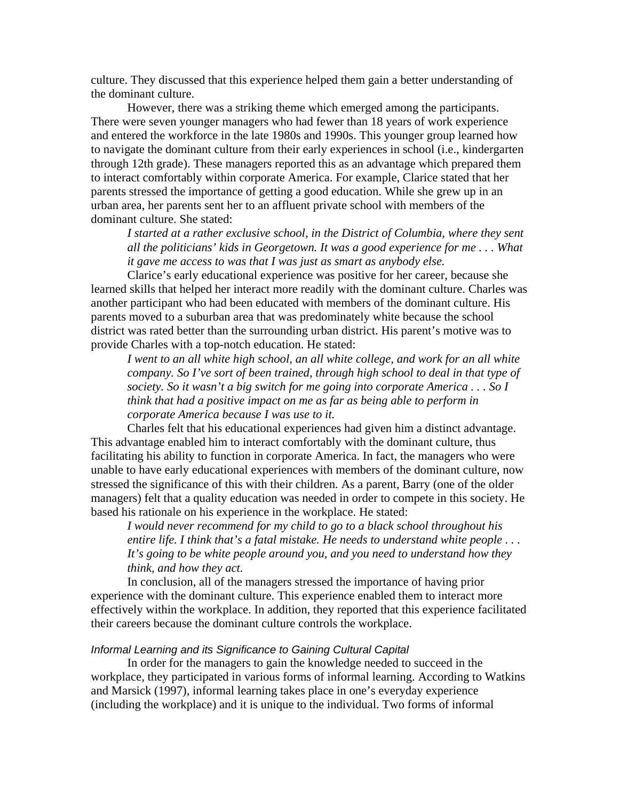culture. They discussed that this experience helped them gain a better understanding of the dominant culture.

However, there was a striking theme which emerged among the participants. There were seven younger managers who had fewer than 18 years of work experience and entered the workforce in the late 1980s and 1990s. This younger group learned how to navigate the dominant culture from their early experiences in school (i.e., kindergarten through 12th grade). These managers reported this as an advantage which prepared them to interact comfortably within corporate America. For example, Clarice stated that her parents stressed the importance of getting a good education. While she grew up in an urban area, her parents sent her to an affluent private school with members of the dominant culture. She stated:

*I started at a rather exclusive school, in the District of Columbia, where they sent all the politicians' kids in Georgetown. It was a good experience for me . . . What it gave me access to was that I was just as smart as anybody else.* 

Clarice's early educational experience was positive for her career, because she learned skills that helped her interact more readily with the dominant culture. Charles was another participant who had been educated with members of the dominant culture. His parents moved to a suburban area that was predominately white because the school district was rated better than the surrounding urban district. His parent's motive was to provide Charles with a top-notch education. He stated:

*I* went to an all white high school, an all white college, and work for an all white *company. So I've sort of been trained, through high school to deal in that type of society. So it wasn't a big switch for me going into corporate America . . . So I think that had a positive impact on me as far as being able to perform in corporate America because I was use to it.* 

Charles felt that his educational experiences had given him a distinct advantage. This advantage enabled him to interact comfortably with the dominant culture, thus facilitating his ability to function in corporate America. In fact, the managers who were unable to have early educational experiences with members of the dominant culture, now stressed the significance of this with their children. As a parent, Barry (one of the older managers) felt that a quality education was needed in order to compete in this society. He based his rationale on his experience in the workplace. He stated:

*I would never recommend for my child to go to a black school throughout his entire life. I think that's a fatal mistake. He needs to understand white people . . . It's going to be white people around you, and you need to understand how they think, and how they act.* 

In conclusion, all of the managers stressed the importance of having prior experience with the dominant culture. This experience enabled them to interact more effectively within the workplace. In addition, they reported that this experience facilitated their careers because the dominant culture controls the workplace.

# *Informal Learning and its Significance to Gaining Cultural Capital*

In order for the managers to gain the knowledge needed to succeed in the workplace, they participated in various forms of informal learning. According to Watkins and Marsick (1997), informal learning takes place in one's everyday experience (including the workplace) and it is unique to the individual. Two forms of informal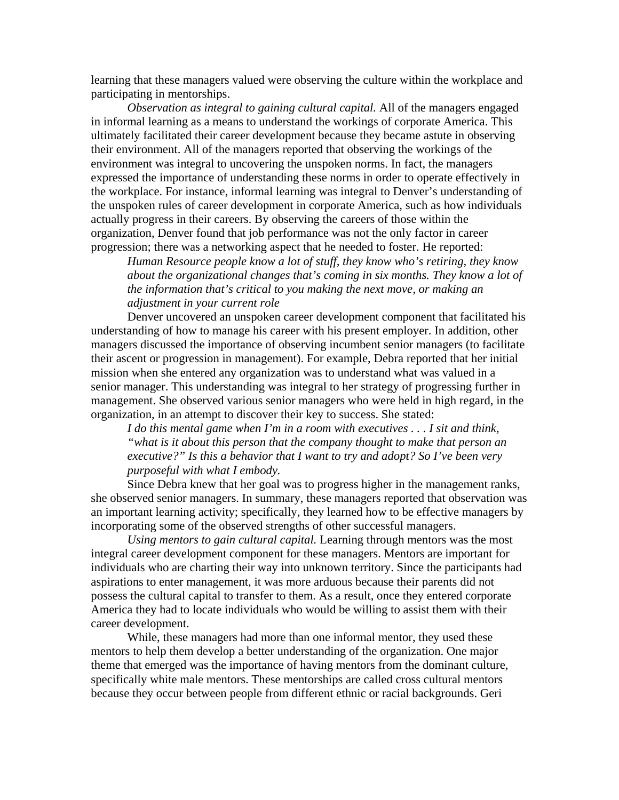learning that these managers valued were observing the culture within the workplace and participating in mentorships.

*Observation as integral to gaining cultural capital.* All of the managers engaged in informal learning as a means to understand the workings of corporate America. This ultimately facilitated their career development because they became astute in observing their environment. All of the managers reported that observing the workings of the environment was integral to uncovering the unspoken norms. In fact, the managers expressed the importance of understanding these norms in order to operate effectively in the workplace. For instance, informal learning was integral to Denver's understanding of the unspoken rules of career development in corporate America, such as how individuals actually progress in their careers. By observing the careers of those within the organization, Denver found that job performance was not the only factor in career progression; there was a networking aspect that he needed to foster. He reported:

*Human Resource people know a lot of stuff, they know who's retiring, they know about the organizational changes that's coming in six months. They know a lot of the information that's critical to you making the next move, or making an adjustment in your current role* 

Denver uncovered an unspoken career development component that facilitated his understanding of how to manage his career with his present employer. In addition, other managers discussed the importance of observing incumbent senior managers (to facilitate their ascent or progression in management). For example, Debra reported that her initial mission when she entered any organization was to understand what was valued in a senior manager. This understanding was integral to her strategy of progressing further in management. She observed various senior managers who were held in high regard, in the organization, in an attempt to discover their key to success. She stated:

*I do this mental game when I'm in a room with executives . . . I sit and think, "what is it about this person that the company thought to make that person an executive?" Is this a behavior that I want to try and adopt? So I've been very purposeful with what I embody.* 

Since Debra knew that her goal was to progress higher in the management ranks, she observed senior managers. In summary, these managers reported that observation was an important learning activity; specifically, they learned how to be effective managers by incorporating some of the observed strengths of other successful managers.

*Using mentors to gain cultural capital.* Learning through mentors was the most integral career development component for these managers. Mentors are important for individuals who are charting their way into unknown territory. Since the participants had aspirations to enter management, it was more arduous because their parents did not possess the cultural capital to transfer to them. As a result, once they entered corporate America they had to locate individuals who would be willing to assist them with their career development.

While, these managers had more than one informal mentor, they used these mentors to help them develop a better understanding of the organization. One major theme that emerged was the importance of having mentors from the dominant culture, specifically white male mentors. These mentorships are called cross cultural mentors because they occur between people from different ethnic or racial backgrounds. Geri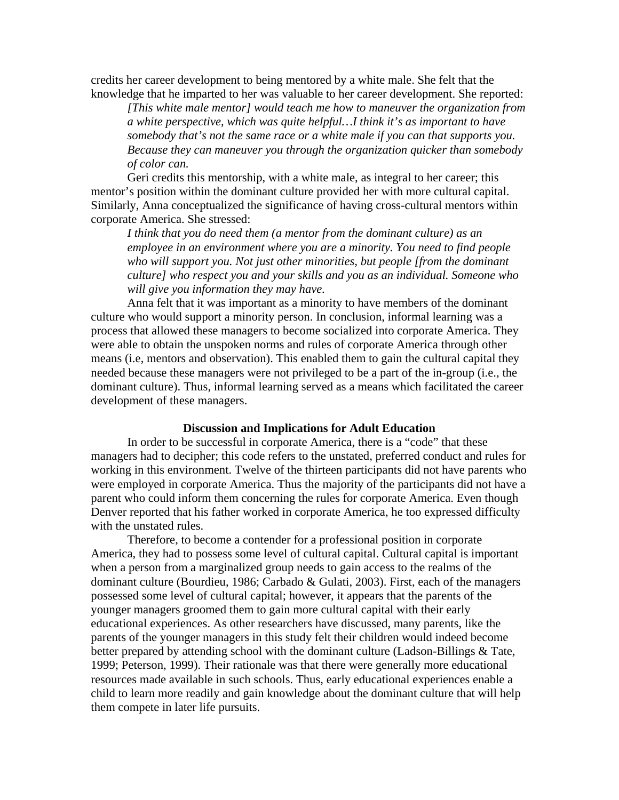credits her career development to being mentored by a white male. She felt that the knowledge that he imparted to her was valuable to her career development. She reported:

*[This white male mentor] would teach me how to maneuver the organization from a white perspective, which was quite helpful…I think it's as important to have somebody that's not the same race or a white male if you can that supports you. Because they can maneuver you through the organization quicker than somebody of color can.* 

Geri credits this mentorship, with a white male, as integral to her career; this mentor's position within the dominant culture provided her with more cultural capital. Similarly, Anna conceptualized the significance of having cross-cultural mentors within corporate America. She stressed:

*I think that you do need them (a mentor from the dominant culture) as an employee in an environment where you are a minority. You need to find people who will support you. Not just other minorities, but people [from the dominant culture] who respect you and your skills and you as an individual. Someone who will give you information they may have.* 

Anna felt that it was important as a minority to have members of the dominant culture who would support a minority person. In conclusion, informal learning was a process that allowed these managers to become socialized into corporate America. They were able to obtain the unspoken norms and rules of corporate America through other means (i.e, mentors and observation). This enabled them to gain the cultural capital they needed because these managers were not privileged to be a part of the in-group (i.e., the dominant culture). Thus, informal learning served as a means which facilitated the career development of these managers.

# **Discussion and Implications for Adult Education**

In order to be successful in corporate America, there is a "code" that these managers had to decipher; this code refers to the unstated, preferred conduct and rules for working in this environment. Twelve of the thirteen participants did not have parents who were employed in corporate America. Thus the majority of the participants did not have a parent who could inform them concerning the rules for corporate America. Even though Denver reported that his father worked in corporate America, he too expressed difficulty with the unstated rules.

Therefore, to become a contender for a professional position in corporate America, they had to possess some level of cultural capital. Cultural capital is important when a person from a marginalized group needs to gain access to the realms of the dominant culture (Bourdieu, 1986; Carbado & Gulati, 2003). First, each of the managers possessed some level of cultural capital; however, it appears that the parents of the younger managers groomed them to gain more cultural capital with their early educational experiences. As other researchers have discussed, many parents, like the parents of the younger managers in this study felt their children would indeed become better prepared by attending school with the dominant culture (Ladson-Billings & Tate, 1999; Peterson, 1999). Their rationale was that there were generally more educational resources made available in such schools. Thus, early educational experiences enable a child to learn more readily and gain knowledge about the dominant culture that will help them compete in later life pursuits.